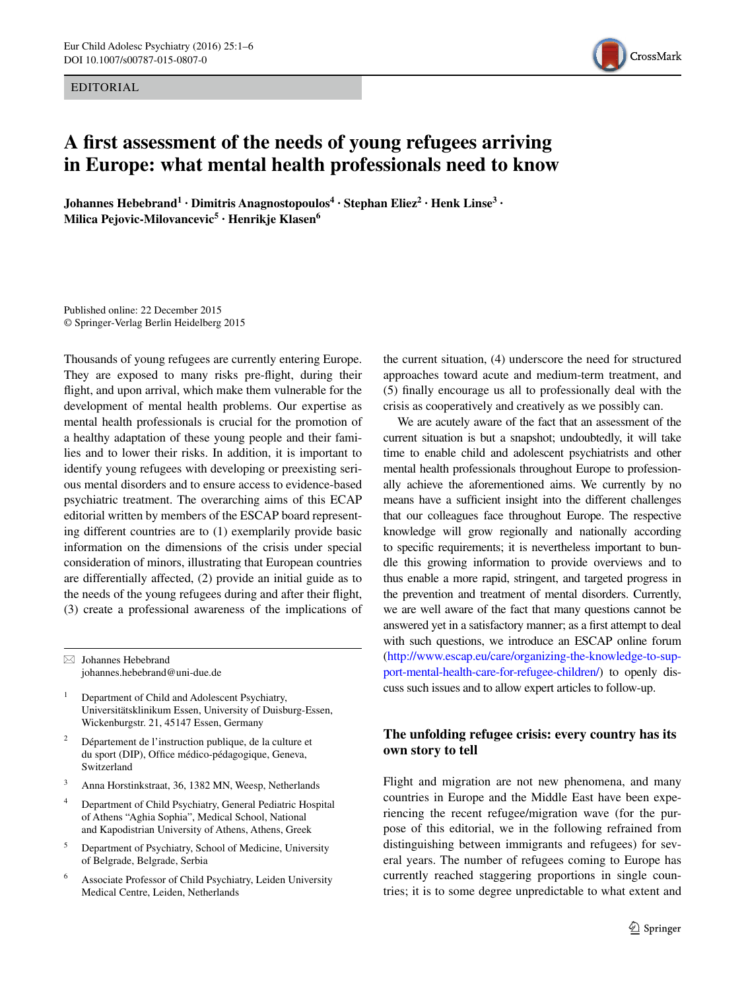EDITORIAL



# **A first assessment of the needs of young refugees arriving in Europe: what mental health professionals need to know**

**Johannes Hebebrand**<sup>1</sup> **· Dimitris Anagnostopoulos**<sup>4</sup> **· Stephan Eliez**<sup>2</sup> **· Henk** Linse<sup>3</sup> **· Milica Pejovic‑Milovancevic<sup>5</sup> · Henrikje Klasen6**

Published online: 22 December 2015 © Springer-Verlag Berlin Heidelberg 2015

Thousands of young refugees are currently entering Europe. They are exposed to many risks pre-flight, during their flight, and upon arrival, which make them vulnerable for the development of mental health problems. Our expertise as mental health professionals is crucial for the promotion of a healthy adaptation of these young people and their families and to lower their risks. In addition, it is important to identify young refugees with developing or preexisting serious mental disorders and to ensure access to evidence-based psychiatric treatment. The overarching aims of this ECAP editorial written by members of the ESCAP board representing different countries are to (1) exemplarily provide basic information on the dimensions of the crisis under special consideration of minors, illustrating that European countries are differentially affected, (2) provide an initial guide as to the needs of the young refugees during and after their flight, (3) create a professional awareness of the implications of

 $\boxtimes$  Johannes Hebebrand johannes.hebebrand@uni-due.de

- <sup>1</sup> Department of Child and Adolescent Psychiatry, Universitätsklinikum Essen, University of Duisburg-Essen, Wickenburgstr. 21, 45147 Essen, Germany
- <sup>2</sup> Département de l'instruction publique, de la culture et du sport (DIP), Office médico-pédagogique, Geneva, Switzerland
- <sup>3</sup> Anna Horstinkstraat, 36, 1382 MN, Weesp, Netherlands
- <sup>4</sup> Department of Child Psychiatry, General Pediatric Hospital of Athens "Aghia Sophia", Medical School, National and Kapodistrian University of Athens, Athens, Greek
- <sup>5</sup> Department of Psychiatry, School of Medicine, University of Belgrade, Belgrade, Serbia
- <sup>6</sup> Associate Professor of Child Psychiatry, Leiden University Medical Centre, Leiden, Netherlands

the current situation, (4) underscore the need for structured approaches toward acute and medium-term treatment, and (5) finally encourage us all to professionally deal with the crisis as cooperatively and creatively as we possibly can.

We are acutely aware of the fact that an assessment of the current situation is but a snapshot; undoubtedly, it will take time to enable child and adolescent psychiatrists and other mental health professionals throughout Europe to professionally achieve the aforementioned aims. We currently by no means have a sufficient insight into the different challenges that our colleagues face throughout Europe. The respective knowledge will grow regionally and nationally according to specific requirements; it is nevertheless important to bundle this growing information to provide overviews and to thus enable a more rapid, stringent, and targeted progress in the prevention and treatment of mental disorders. Currently, we are well aware of the fact that many questions cannot be answered yet in a satisfactory manner; as a first attempt to deal with such questions, we introduce an ESCAP online forum [\(http://www.escap.eu/care/organizing-the-knowledge-to-sup](http://www.escap.eu/care/organizing-the-knowledge-to-support-mental-health-care-for-refugee-children/)[port-mental-health-care-for-refugee-children/\)](http://www.escap.eu/care/organizing-the-knowledge-to-support-mental-health-care-for-refugee-children/) to openly discuss such issues and to allow expert articles to follow-up.

## **The unfolding refugee crisis: every country has its own story to tell**

Flight and migration are not new phenomena, and many countries in Europe and the Middle East have been experiencing the recent refugee/migration wave (for the purpose of this editorial, we in the following refrained from distinguishing between immigrants and refugees) for several years. The number of refugees coming to Europe has currently reached staggering proportions in single countries; it is to some degree unpredictable to what extent and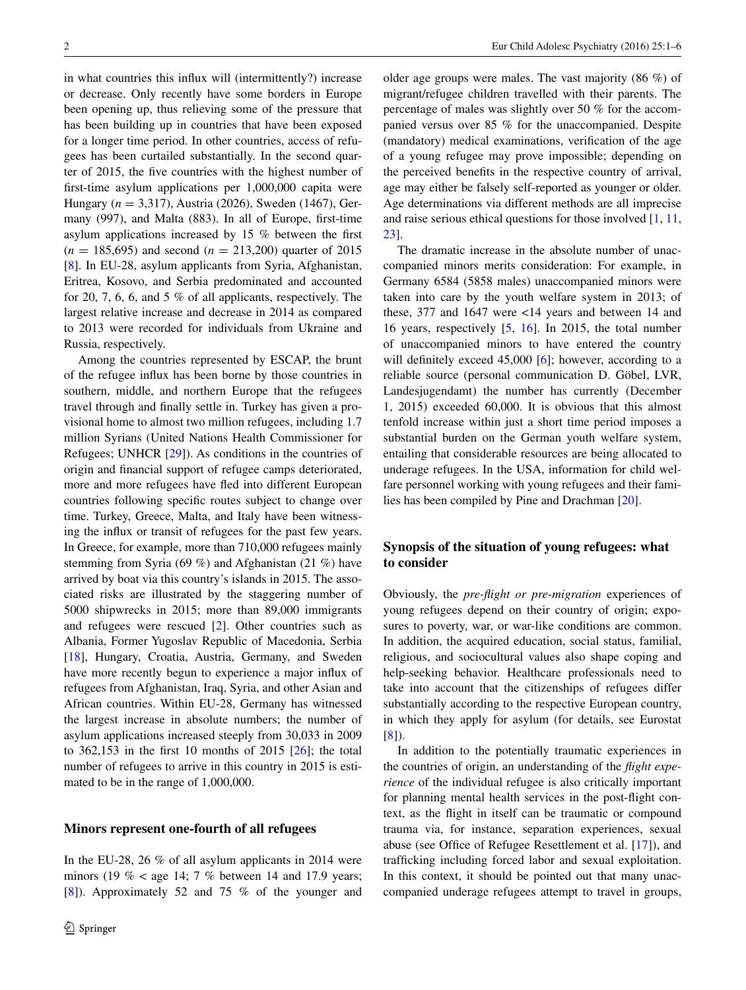in what countries this influx will (intermittently?) increase or decrease. Only recently have some borders in Europe been opening up, thus relieving some of the pressure that has been building up in countries that have been exposed for a longer time period. In other countries, access of refugees has been curtailed substantially. In the second quarter of 2015, the five countries with the highest number of first-time asylum applications per 1,000,000 capita were Hungary (*n* = 3,317), Austria (2026), Sweden (1467), Germany (997), and Malta (883). In all of Europe, first-time asylum applications increased by 15 % between the first (*n* = 185,695) and second (*n* = 213,200) quarter of 2015 [\[8](#page-5-0)]. In EU-28, asylum applicants from Syria, Afghanistan, Eritrea, Kosovo, and Serbia predominated and accounted for 20, 7, 6, 6, and 5 % of all applicants, respectively. The largest relative increase and decrease in 2014 as compared to 2013 were recorded for individuals from Ukraine and Russia, respectively.

Among the countries represented by ESCAP, the brunt of the refugee influx has been borne by those countries in southern, middle, and northern Europe that the refugees travel through and finally settle in. Turkey has given a provisional home to almost two million refugees, including 1.7 million Syrians (United Nations Health Commissioner for Refugees; UNHCR [\[29](#page-5-1)]). As conditions in the countries of origin and financial support of refugee camps deteriorated, more and more refugees have fled into different European countries following specific routes subject to change over time. Turkey, Greece, Malta, and Italy have been witnessing the influx or transit of refugees for the past few years. In Greece, for example, more than 710,000 refugees mainly stemming from Syria (69 %) and Afghanistan (21 %) have arrived by boat via this country's islands in 2015. The associated risks are illustrated by the staggering number of 5000 shipwrecks in 2015; more than 89,000 immigrants and refugees were rescued [\[2](#page-4-0)]. Other countries such as Albania, Former Yugoslav Republic of Macedonia, Serbia [\[18](#page-5-2)], Hungary, Croatia, Austria, Germany, and Sweden have more recently begun to experience a major influx of refugees from Afghanistan, Iraq, Syria, and other Asian and African countries. Within EU-28, Germany has witnessed the largest increase in absolute numbers; the number of asylum applications increased steeply from 30,033 in 2009 to  $362,153$  in the first 10 months of  $2015$   $[26]$  $[26]$ ; the total number of refugees to arrive in this country in 2015 is estimated to be in the range of 1,000,000.

In the EU-28, 26 % of all asylum applicants in 2014 were minors (19 % < age 14; 7 % between 14 and 17.9 years; [\[8](#page-5-0)]). Approximately 52 and 75 % of the younger and older age groups were males. The vast majority (86 %) of migrant/refugee children travelled with their parents. The percentage of males was slightly over 50 % for the accompanied versus over 85 % for the unaccompanied. Despite (mandatory) medical examinations, verification of the age of a young refugee may prove impossible; depending on the perceived benefits in the respective country of arrival, age may either be falsely self-reported as younger or older. Age determinations via different methods are all imprecise and raise serious ethical questions for those involved [[1,](#page-4-1) [11,](#page-5-4) [23](#page-5-5)].

The dramatic increase in the absolute number of unaccompanied minors merits consideration: For example, in Germany 6584 (5858 males) unaccompanied minors were taken into care by the youth welfare system in 2013; of these, 377 and 1647 were <14 years and between 14 and 16 years, respectively [[5,](#page-4-2) [16\]](#page-5-6). In 2015, the total number of unaccompanied minors to have entered the country will definitely exceed 45,000 [[6\]](#page-4-3); however, according to a reliable source (personal communication D. Göbel, LVR, Landesjugendamt) the number has currently (December 1, 2015) exceeded 60,000. It is obvious that this almost tenfold increase within just a short time period imposes a substantial burden on the German youth welfare system, entailing that considerable resources are being allocated to underage refugees. In the USA, information for child welfare personnel working with young refugees and their families has been compiled by Pine and Drachman [[20\]](#page-5-7).

## **Synopsis of the situation of young refugees: what to consider**

Obviously, the *pre-flight or pre*-*migration* experiences of young refugees depend on their country of origin; exposures to poverty, war, or war-like conditions are common. In addition, the acquired education, social status, familial, religious, and sociocultural values also shape coping and help-seeking behavior. Healthcare professionals need to take into account that the citizenships of refugees differ substantially according to the respective European country, in which they apply for asylum (for details, see Eurostat [\[8](#page-5-0)]).

In addition to the potentially traumatic experiences in the countries of origin, an understanding of the *flight experience* of the individual refugee is also critically important for planning mental health services in the post-flight context, as the flight in itself can be traumatic or compound trauma via, for instance, separation experiences, sexual abuse (see Office of Refugee Resettlement et al. [[17\]](#page-5-8)), and trafficking including forced labor and sexual exploitation. In this context, it should be pointed out that many unaccompanied underage refugees attempt to travel in groups,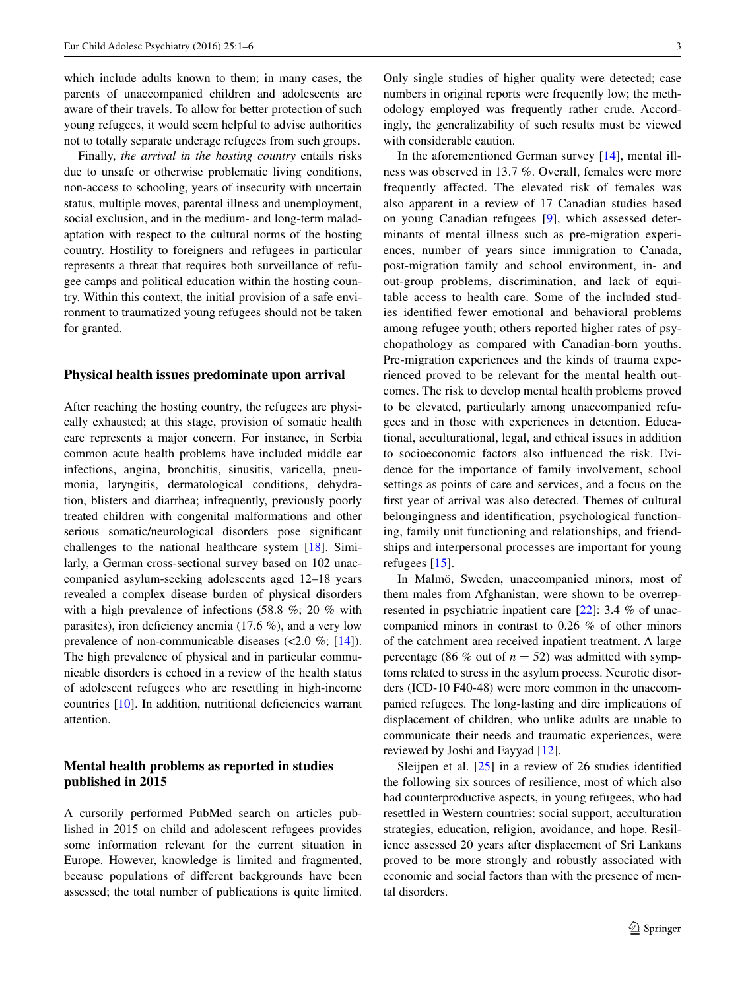which include adults known to them; in many cases, the parents of unaccompanied children and adolescents are aware of their travels. To allow for better protection of such young refugees, it would seem helpful to advise authorities not to totally separate underage refugees from such groups.

Finally, *the arrival in the hosting country* entails risks due to unsafe or otherwise problematic living conditions, non-access to schooling, years of insecurity with uncertain status, multiple moves, parental illness and unemployment, social exclusion, and in the medium- and long-term maladaptation with respect to the cultural norms of the hosting country. Hostility to foreigners and refugees in particular represents a threat that requires both surveillance of refugee camps and political education within the hosting country. Within this context, the initial provision of a safe environment to traumatized young refugees should not be taken for granted.

#### **Physical health issues predominate upon arrival**

After reaching the hosting country, the refugees are physically exhausted; at this stage, provision of somatic health care represents a major concern. For instance, in Serbia common acute health problems have included middle ear infections, angina, bronchitis, sinusitis, varicella, pneumonia, laryngitis, dermatological conditions, dehydration, blisters and diarrhea; infrequently, previously poorly treated children with congenital malformations and other serious somatic/neurological disorders pose significant challenges to the national healthcare system [\[18](#page-5-2)]. Similarly, a German cross-sectional survey based on 102 unaccompanied asylum-seeking adolescents aged 12–18 years revealed a complex disease burden of physical disorders with a high prevalence of infections (58.8 %; 20 % with parasites), iron deficiency anemia (17.6 %), and a very low prevalence of non-communicable diseases (<2.0 %; [[14\]](#page-5-9)). The high prevalence of physical and in particular communicable disorders is echoed in a review of the health status of adolescent refugees who are resettling in high-income countries [\[10](#page-5-10)]. In addition, nutritional deficiencies warrant attention.

## **Mental health problems as reported in studies published in 2015**

A cursorily performed PubMed search on articles published in 2015 on child and adolescent refugees provides some information relevant for the current situation in Europe. However, knowledge is limited and fragmented, because populations of different backgrounds have been assessed; the total number of publications is quite limited. Only single studies of higher quality were detected; case numbers in original reports were frequently low; the methodology employed was frequently rather crude. Accordingly, the generalizability of such results must be viewed with considerable caution.

In the aforementioned German survey [[14](#page-5-9)], mental illness was observed in 13.7 %. Overall, females were more frequently affected. The elevated risk of females was also apparent in a review of 17 Canadian studies based on young Canadian refugees [\[9\]](#page-5-11), which assessed determinants of mental illness such as pre-migration experiences, number of years since immigration to Canada, post-migration family and school environment, in- and out-group problems, discrimination, and lack of equitable access to health care. Some of the included studies identified fewer emotional and behavioral problems among refugee youth; others reported higher rates of psychopathology as compared with Canadian-born youths. Pre-migration experiences and the kinds of trauma experienced proved to be relevant for the mental health outcomes. The risk to develop mental health problems proved to be elevated, particularly among unaccompanied refugees and in those with experiences in detention. Educational, acculturational, legal, and ethical issues in addition to socioeconomic factors also influenced the risk. Evidence for the importance of family involvement, school settings as points of care and services, and a focus on the first year of arrival was also detected. Themes of cultural belongingness and identification, psychological functioning, family unit functioning and relationships, and friendships and interpersonal processes are important for young refugees [[15](#page-5-12)].

In Malmö, Sweden, unaccompanied minors, most of them males from Afghanistan, were shown to be overrepresented in psychiatric inpatient care [\[22](#page-5-13)]: 3.4 % of unaccompanied minors in contrast to 0.26 % of other minors of the catchment area received inpatient treatment. A large percentage (86 % out of  $n = 52$ ) was admitted with symptoms related to stress in the asylum process. Neurotic disorders (ICD-10 F40-48) were more common in the unaccompanied refugees. The long-lasting and dire implications of displacement of children, who unlike adults are unable to communicate their needs and traumatic experiences, were reviewed by Joshi and Fayyad [\[12](#page-5-14)].

Sleijpen et al. [[25\]](#page-5-15) in a review of 26 studies identified the following six sources of resilience, most of which also had counterproductive aspects, in young refugees, who had resettled in Western countries: social support, acculturation strategies, education, religion, avoidance, and hope. Resilience assessed 20 years after displacement of Sri Lankans proved to be more strongly and robustly associated with economic and social factors than with the presence of mental disorders.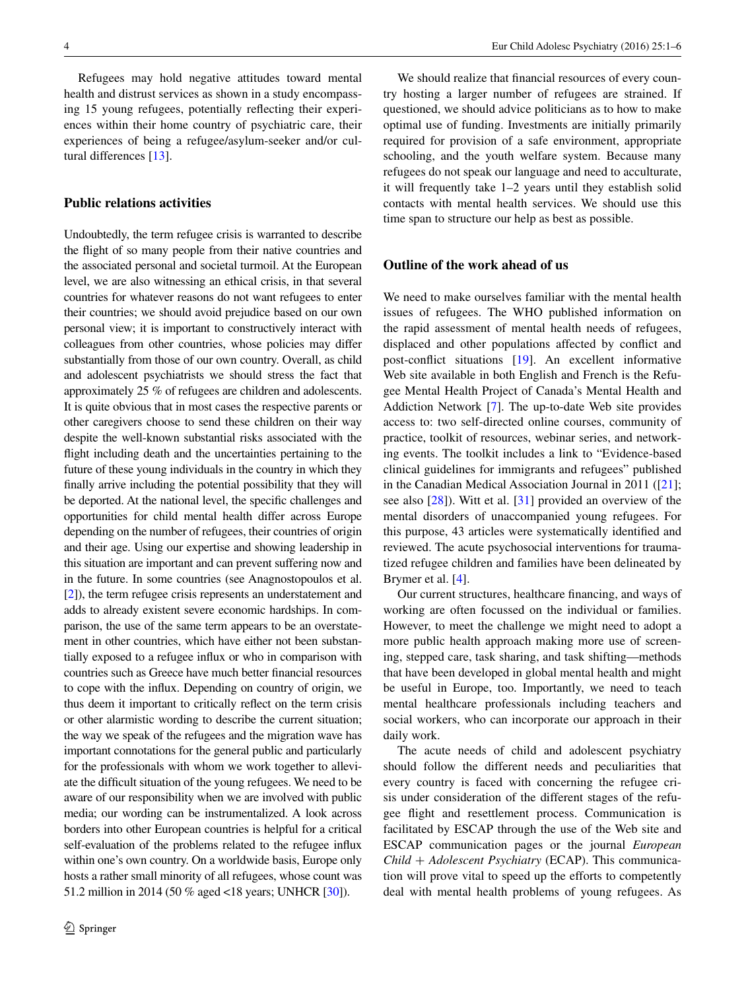Refugees may hold negative attitudes toward mental health and distrust services as shown in a study encompassing 15 young refugees, potentially reflecting their experiences within their home country of psychiatric care, their experiences of being a refugee/asylum-seeker and/or cultural differences [[13\]](#page-5-16).

#### **Public relations activities**

Undoubtedly, the term refugee crisis is warranted to describe the flight of so many people from their native countries and the associated personal and societal turmoil. At the European level, we are also witnessing an ethical crisis, in that several countries for whatever reasons do not want refugees to enter their countries; we should avoid prejudice based on our own personal view; it is important to constructively interact with colleagues from other countries, whose policies may differ substantially from those of our own country. Overall, as child and adolescent psychiatrists we should stress the fact that approximately 25 % of refugees are children and adolescents. It is quite obvious that in most cases the respective parents or other caregivers choose to send these children on their way despite the well-known substantial risks associated with the flight including death and the uncertainties pertaining to the future of these young individuals in the country in which they finally arrive including the potential possibility that they will be deported. At the national level, the specific challenges and opportunities for child mental health differ across Europe depending on the number of refugees, their countries of origin and their age. Using our expertise and showing leadership in this situation are important and can prevent suffering now and in the future. In some countries (see Anagnostopoulos et al. [\[2](#page-4-0)]), the term refugee crisis represents an understatement and adds to already existent severe economic hardships. In comparison, the use of the same term appears to be an overstatement in other countries, which have either not been substantially exposed to a refugee influx or who in comparison with countries such as Greece have much better financial resources to cope with the influx. Depending on country of origin, we thus deem it important to critically reflect on the term crisis or other alarmistic wording to describe the current situation; the way we speak of the refugees and the migration wave has important connotations for the general public and particularly for the professionals with whom we work together to alleviate the difficult situation of the young refugees. We need to be aware of our responsibility when we are involved with public media; our wording can be instrumentalized. A look across borders into other European countries is helpful for a critical self-evaluation of the problems related to the refugee influx within one's own country. On a worldwide basis, Europe only hosts a rather small minority of all refugees, whose count was 51.2 million in 2014 (50 % aged <18 years; UNHCR [\[30\]](#page-5-17)).

We should realize that financial resources of every country hosting a larger number of refugees are strained. If questioned, we should advice politicians as to how to make optimal use of funding. Investments are initially primarily required for provision of a safe environment, appropriate schooling, and the youth welfare system. Because many refugees do not speak our language and need to acculturate, it will frequently take 1–2 years until they establish solid contacts with mental health services. We should use this time span to structure our help as best as possible.

#### **Outline of the work ahead of us**

We need to make ourselves familiar with the mental health issues of refugees. The WHO published information on the rapid assessment of mental health needs of refugees, displaced and other populations affected by conflict and post-conflict situations [[19\]](#page-5-18). An excellent informative Web site available in both English and French is the Refugee Mental Health Project of Canada's Mental Health and Addiction Network [[7\]](#page-5-19). The up-to-date Web site provides access to: two self-directed online courses, community of practice, toolkit of resources, webinar series, and networking events. The toolkit includes a link to "Evidence-based clinical guidelines for immigrants and refugees" published in the Canadian Medical Association Journal in 2011 ([\[21](#page-5-20)]; see also [[28\]](#page-5-21)). Witt et al. [\[31](#page-5-22)] provided an overview of the mental disorders of unaccompanied young refugees. For this purpose, 43 articles were systematically identified and reviewed. The acute psychosocial interventions for traumatized refugee children and families have been delineated by Brymer et al. [\[4](#page-4-4)].

Our current structures, healthcare financing, and ways of working are often focussed on the individual or families. However, to meet the challenge we might need to adopt a more public health approach making more use of screening, stepped care, task sharing, and task shifting—methods that have been developed in global mental health and might be useful in Europe, too. Importantly, we need to teach mental healthcare professionals including teachers and social workers, who can incorporate our approach in their daily work.

The acute needs of child and adolescent psychiatry should follow the different needs and peculiarities that every country is faced with concerning the refugee crisis under consideration of the different stages of the refugee flight and resettlement process. Communication is facilitated by ESCAP through the use of the Web site and ESCAP communication pages or the journal *European Child* + *Adolescent Psychiatry* (ECAP). This communication will prove vital to speed up the efforts to competently deal with mental health problems of young refugees. As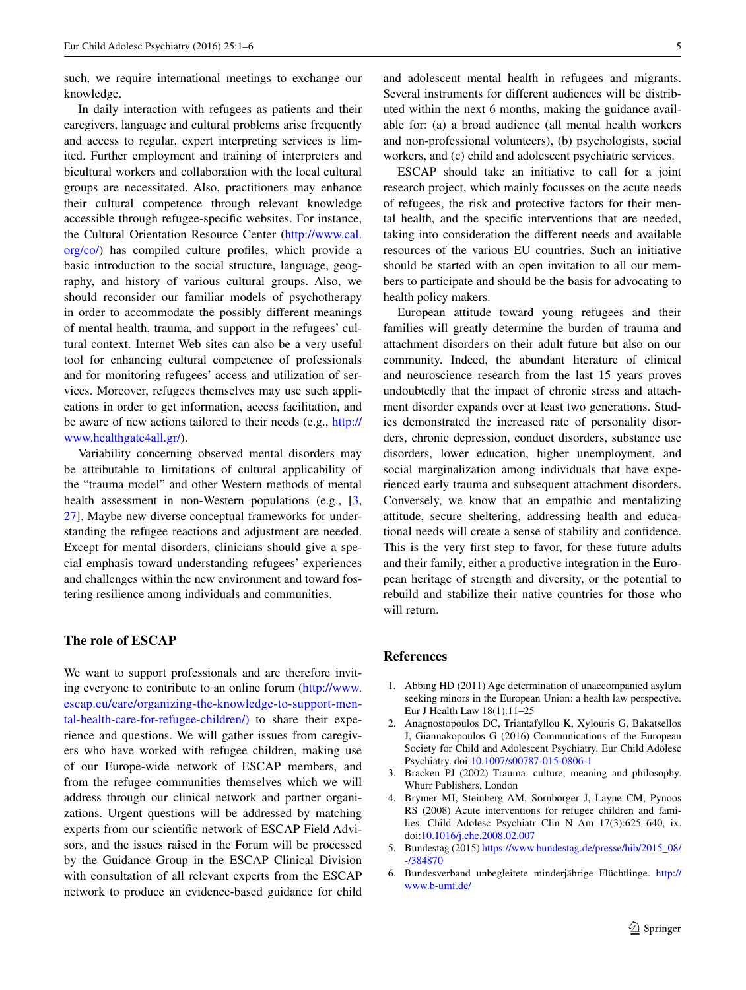such, we require international meetings to exchange our knowledge.

In daily interaction with refugees as patients and their caregivers, language and cultural problems arise frequently and access to regular, expert interpreting services is limited. Further employment and training of interpreters and bicultural workers and collaboration with the local cultural groups are necessitated. Also, practitioners may enhance their cultural competence through relevant knowledge accessible through refugee-specific websites. For instance, the Cultural Orientation Resource Center ([http://www.cal.](http://www.cal.org/co/) [org/co/](http://www.cal.org/co/)) has compiled culture profiles, which provide a basic introduction to the social structure, language, geography, and history of various cultural groups. Also, we should reconsider our familiar models of psychotherapy in order to accommodate the possibly different meanings of mental health, trauma, and support in the refugees' cultural context. Internet Web sites can also be a very useful tool for enhancing cultural competence of professionals and for monitoring refugees' access and utilization of services. Moreover, refugees themselves may use such applications in order to get information, access facilitation, and be aware of new actions tailored to their needs (e.g., [http://](http://www.healthgate4all.gr/) [www.healthgate4all.gr/](http://www.healthgate4all.gr/)).

Variability concerning observed mental disorders may be attributable to limitations of cultural applicability of the "trauma model" and other Western methods of mental health assessment in non-Western populations (e.g., [[3,](#page-4-5) [27](#page-5-23)]. Maybe new diverse conceptual frameworks for understanding the refugee reactions and adjustment are needed. Except for mental disorders, clinicians should give a special emphasis toward understanding refugees' experiences and challenges within the new environment and toward fostering resilience among individuals and communities.

## **The role of ESCAP**

We want to support professionals and are therefore inviting everyone to contribute to an online forum ([http://www.](http://www.escap.eu/care/organizing-the-knowledge-to-support-mental-health-care-for-refugee-children/)) [escap.eu/care/organizing-the-knowledge-to-support-men](http://www.escap.eu/care/organizing-the-knowledge-to-support-mental-health-care-for-refugee-children/))[tal-health-care-for-refugee-children/\)](http://www.escap.eu/care/organizing-the-knowledge-to-support-mental-health-care-for-refugee-children/)) to share their experience and questions. We will gather issues from caregivers who have worked with refugee children, making use of our Europe-wide network of ESCAP members, and from the refugee communities themselves which we will address through our clinical network and partner organizations. Urgent questions will be addressed by matching experts from our scientific network of ESCAP Field Advisors, and the issues raised in the Forum will be processed by the Guidance Group in the ESCAP Clinical Division with consultation of all relevant experts from the ESCAP network to produce an evidence-based guidance for child and adolescent mental health in refugees and migrants. Several instruments for different audiences will be distributed within the next 6 months, making the guidance available for: (a) a broad audience (all mental health workers and non-professional volunteers), (b) psychologists, social workers, and (c) child and adolescent psychiatric services.

ESCAP should take an initiative to call for a joint research project, which mainly focusses on the acute needs of refugees, the risk and protective factors for their mental health, and the specific interventions that are needed, taking into consideration the different needs and available resources of the various EU countries. Such an initiative should be started with an open invitation to all our members to participate and should be the basis for advocating to health policy makers.

European attitude toward young refugees and their families will greatly determine the burden of trauma and attachment disorders on their adult future but also on our community. Indeed, the abundant literature of clinical and neuroscience research from the last 15 years proves undoubtedly that the impact of chronic stress and attachment disorder expands over at least two generations. Studies demonstrated the increased rate of personality disorders, chronic depression, conduct disorders, substance use disorders, lower education, higher unemployment, and social marginalization among individuals that have experienced early trauma and subsequent attachment disorders. Conversely, we know that an empathic and mentalizing attitude, secure sheltering, addressing health and educational needs will create a sense of stability and confidence. This is the very first step to favor, for these future adults and their family, either a productive integration in the European heritage of strength and diversity, or the potential to rebuild and stabilize their native countries for those who will return.

#### **References**

- <span id="page-4-1"></span>1. Abbing HD (2011) Age determination of unaccompanied asylum seeking minors in the European Union: a health law perspective. Eur J Health Law 18(1):11–25
- <span id="page-4-0"></span>2. Anagnostopoulos DC, Triantafyllou K, Xylouris G, Bakatsellos J, Giannakopoulos G (2016) Communications of the European Society for Child and Adolescent Psychiatry. Eur Child Adolesc Psychiatry. doi:[10.1007/s00787-015-0806-1](http://dx.doi.org/10.1007/s00787-015-0806-1)
- <span id="page-4-5"></span>3. Bracken PJ (2002) Trauma: culture, meaning and philosophy. Whurr Publishers, London
- <span id="page-4-4"></span>4. Brymer MJ, Steinberg AM, Sornborger J, Layne CM, Pynoos RS (2008) Acute interventions for refugee children and families. Child Adolesc Psychiatr Clin N Am 17(3):625–640, ix. doi[:10.1016/j.chc.2008.02.007](http://dx.doi.org/10.1016/j.chc.2008.02.007)
- <span id="page-4-2"></span>5. Bundestag (2015) [https://www.bundestag.de/presse/hib/2015\\_08/](https://www.bundestag.de/presse/hib/2015_08/-/384870) [-/384870](https://www.bundestag.de/presse/hib/2015_08/-/384870)
- <span id="page-4-3"></span>6. Bundesverband unbegleitete minderjährige Flüchtlinge. [http://](http://www.b-umf.de/) [www.b-umf.de/](http://www.b-umf.de/)